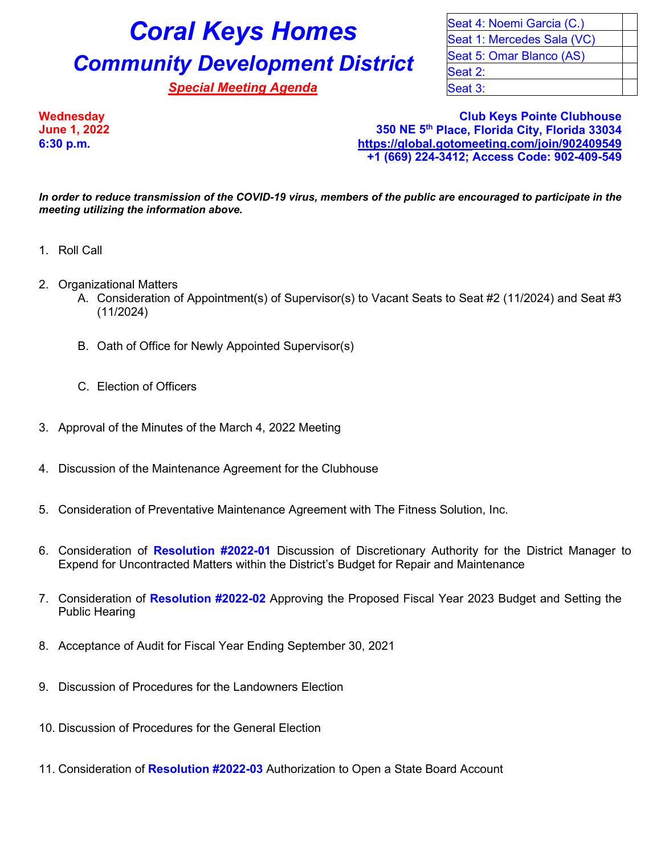## **Coral Keys Homes** Seat 4: Noemi Garcia (C.) **Community Development District** Seat 5: Omar Blanco (AS)

**Special Meeting Agenda** Special Seat 3:

Seat 1: Mercedes Sala (VC) Seat 2:

**Wednesday Club Keys Pointe Clubhouse June 1, 2022 350 NE 5th Place, Florida City, Florida 33034 6:30 p.m. <https://global.gotomeeting.com/join/902409549> +1 (669) 224-3412; Access Code: 902-409-549**

*In order to reduce transmission of the COVID-19 virus, members of the public are encouraged to participate in the meeting utilizing the information above.*

- 1. Roll Call
- 2. Organizational Matters
	- A. Consideration of Appointment(s) of Supervisor(s) to Vacant Seats to Seat #2 (11/2024) and Seat #3 (11/2024)
	- B. Oath of Office for Newly Appointed Supervisor(s)
	- C. Election of Officers
- 3. Approval of the Minutes of the March 4, 2022 Meeting
- 4. Discussion of the Maintenance Agreement for the Clubhouse
- 5. Consideration of Preventative Maintenance Agreement with The Fitness Solution, Inc.
- 6. Consideration of **Resolution #2022-01** Discussion of Discretionary Authority for the District Manager to Expend for Uncontracted Matters within the District's Budget for Repair and Maintenance
- 7. Consideration of **Resolution #2022-02** Approving the Proposed Fiscal Year 2023 Budget and Setting the Public Hearing
- 8. Acceptance of Audit for Fiscal Year Ending September 30, 2021
- 9. Discussion of Procedures for the Landowners Election
- 10. Discussion of Procedures for the General Election
- 11. Consideration of **Resolution #2022-03** Authorization to Open a State Board Account